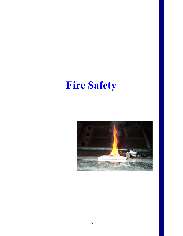# **Fire Safety**

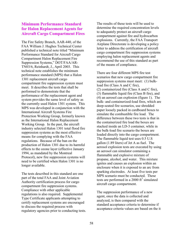#### **Minimum Performance Standard r Halon Replacement Agents for fo inducata A** Cargo Compartment Fires

The Fire Safety Branch, AAR-440, of the FAA William J. Hughes Technical Center published a technical note titled "Minimum Performance Standard for Aircraft Cargo Compartment Halon Replacement Fire Suppression Systems," DOT/FAA/AR-N03/6, Reinhardt, J., April 2003. This T technical note establishes the minimum performance standard (MPS) th at a Halon 1301 replacement aircraft carg o compartment fire suppression s ystem must meet. It describes the tests that shall be performed to demonstrate that the performance of the replacement agent and system provides the same level of safety as the currently used Halon 1301 system. This MPS was developed in conjunction with the International Aircraft Systems Fire Protection Working Group, formerly known as the International Halon Replacement Working Group. In the past, the aircraft industry selected Halon 1301 total flood fire suppression systems as the most effective means for complying with the FAA regulations. Because of the ban on the production of Halon 1301 due to its harmful effects to the ozone layer (effective January 1994, as mandated by the Montreal Protocol), new fire suppression systems will need to be certified when Halon 1301 is no longer available.

The tests described in this standard are one part of the total FAA and Joint Aviation Authority certification process for cargo compartment fire suppression systems. Compliance with other applicable regulations is also required. Supplemental Type Certificate applicants attempting to certify replacement systems are encouraged to discuss the required process with regulatory agencies prior to conducting tests. The results of these tests will be used to determine the required concentration levels to adequately protect an aircraft cargo compartment against fire and hydrocarbon explosions. Currently, the FAA Transport Airplane Directorate is developing a policy letter to address the certification of aircraft cargo compartment fire suppression systems employing halon replacement agents and recommend the use of this standard as part of the means of compliance.

There are four different MPS fire test scenarios that new cargo compartment fire suppression systems must meet: (1) bulkload fire (Class A and C fire), ) containerized fire (Class A and C fire), (2 ) flammable liquid fire (Class B fire), and (3 ) an aerosol can explosion (figure 1). The (4 bulk- and containerized-load fires, which are deep-seated fire scenarios, use shredded paper loosely packed in cardboard boxes to simulate the combustible fire load. The difference between these two tests is that in the containerized fire load the boxes are stacked inside an LD-3 container, while in the bulk-load fire scenario the boxes are loaded directly into the cargo compartment. The flammable liquid test uses 0.5 U.S gallon (1.89 liters) of Jet A as fuel. The aerosol explosion tests are executed by using an aerosol can simulator containing a flammable and explosive mixture of propane, alcohol, and water. This mixture ignites and causes an explosion within an enclosure when it is exposed to an arc from sparking electrodes. At least five tests per MPS scenario must be conducted. These tests are performed in a 2000  $\text{ft}^3$  simulated aircraft cargo compartment.

The suppression performance of a new agent, once the data is collected and analyzed, is then compared with the standard acceptance criteria to determine if acceptance criteria values are based on the it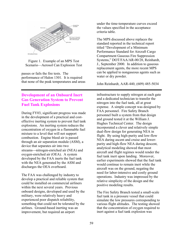

Figure 1. Example of an MPS Test Scenario—Aerosol Can Explosion Tes

passes or fails the fire tests. The performance of Halon 1301. It is required that none of the peak temperatures and areas

## **Development of an Onboard Inert Gas Generation System to Prevent Fuel Tank Explosions**

During FY03, significant progress w as made in the development of a practical and costeffective inerting system to prevent fuel t ank explosions. An inerting system reduces th e concentration of oxygen in a flammable fuel mixture to a level that will not support combustion. Engine bleed air is pass ed through an air separation module (ASM ), a device that separates air into two streams—nitrogen-enriched air (NEA) and oxygen-enriched air (OEA). A syste m developed by the FAA inerts the fuel tank with the NEA generated by the ASM and discharges the OEA overboard.

The FAA was challenged by industry to develop a practical and reliable system th at could be installed on commercial airliners within the next several years. Previous onboard designs, developed and us ed by the military, were relatively heavy and experienced poor dispatch reliability, something that could not be tolerated by the airlines. Ground-based inerting was an improvement, but required an airport

under the time-temperature curves exceed the values specified in the acceptance criteria table.

 $I<sub>t</sub>$  J., September 2000. In addition to gaseous replacement agents, the more recent MPS can be applied to nongaseous agents such as The MPS discussed above replaces the standard reported in the technical report titled "Development of a Minimum Performance Standard for Aircraft Cargo Compartment Gaseous Fire Suppression Systems," DOT/FAA/AR-00/28, Reinhardt, water or dry powder.

John Reinhardt, AAR-440, (609) 485-5034

infrastructure to supply nitrogen at each gate and a dedicated technician to transfer the nitrogen into the fuel tank, all at great expense. A simple concept was designed by FAA personnel. Fire Safety Branch personnel built a system from that design and ground tested it at the William J. Hughes Technical Center. The design incorporated a clever and relatively simple dual-flow design for generating NEA in flight. By using high-purity and low-flow NEA during ascent and cruise and lower purity and high-flow NEA during descent , analytical modeling showed that most aircraft and flight regimes would rende r the fuel tank inert upon landing. Moreov er, earlier experiments showed that the fuel tan k would continue to remain inert while the aircraft was on the ground, negating the need for labor-intensive and costly ground operations. Industry was impressed by the relative simplicity of the design and the positive modeling results.

The Fire Safety Branch tested a small-scale fuel tank in a pressure vessel that could simulate the low pressures corresponding to inert against a fuel tank explosion was various flight altitudes. The testing showed that the concentration of oxygen required to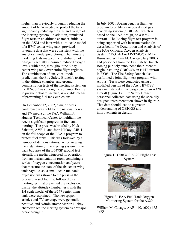higher than previously thought, reducing the amount of NEA needed to protect the tank, significantly reducing the size and weight of the inerting system. In addition, simulated flight tests in an altitude chamber, initially on the ASM and later with a 1/4-scale model of a B747 center wing tank, provided favorable data that were consistent with the analytical model predictions. The 1/4-scale modeling tests mapped the distribution of nitrogen (actually measured reduced oxygen lev el), with time, throughout the 6-bay enter wing tank over entire flight regimes. c The combination of analytical model demonstration tests of the inerting system on the B747SP was enough to convince Boeing to pursue onboard inerting as a viable means predictions, the Fire Safety Branch's testing in the altitude chamber, and ground of preventing fuel tank explosions.

On December 12, 2002, a major press onference was held for the national news c on the full scope of the FAA's program to protect fuel tanks. This was followed by a the installation of the inerting system in the n aircraft, the media witnessed its operatio that measure the state of the six center wing tank bays. Also, a small-scale fuel tank Lastly, the altitude chamber tests with the tank were explained. The newspaper articles and TV coverage were generally characterized the inerting system as a "major and TV media at the FAA William J. Hughes Technical Center to highlight the recent significant progress in fuel tank inerting. The press was briefed by Nick Sabatini, AVR-1, and John Hickey, AIR-1, number of demonstrations. After viewing pack bay area of the B747SP ground test from an instrumentation room containing a series of oxygen concentration analyzers explosion was shown to the press in the pressure vessel facility, followed by an inerting test that prevented the explosion. 1/4-scale model of the B747 center wing positive, and Administrator Marion Blakey breakthrough."

generating system (OBIGGS), which is based on the FAA design, on a B747 aircraft. The Boeing flight test program is described in "A Description and Analysis of performed a joint flight test program with system installed in the cargo bay of an A320 personnel collected data using the specially designed instrumentation shown in figure 2. aircraft (figure 1). Fire Safety Branch That data should lead to a greater understanding of OBIGGS and improvements in design. In July 2003, Boeing began a flight test program to certify an onboard inert gas being supported with instrumentation (as the FAA Onboard Oxygen Analysis System," DOT/FAA/AR-TN03/52, Mike Burns and William M. Cavage, July 2003) and personnel from the Fire Safety Branch. Boeing publicly announced their intent to begin installing OBIGGSs on B747 aircraft in FY05. The Fire Safety Branch also Airbus. Tests were conducted using a modified version of the FAA's B747SP



Figure 1. OBIGGS A320 Flight Test System



Figure 2. FAA Fuel Tank Oxygen Monitoring System for the A320

William M. Cavage, AAR-440, (609) 485- 4993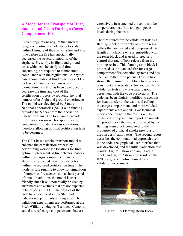#### **A Model for the Transport of Heat, Smoke, and Gases During a Cargo Compartment Fire**

Current regulations require that aircraft cargo compartment smoke detectors al arm within 1 minute of the start of a fire and at a time before the fire has substantially decreased the structural integrity of the airplane. Presently, in-flight and ground tests, which can be costly and time consuming, are required to demonstrate compliance with the regulations. A ph ysicsbased computational fluid dynamics (CFD) tool, which couples heat, mass, and momentum transfer, has been developed to decrease the time and cost of the certification process by reducing the total number of in-flight and ground experiments. provided by NASA from their Aviation The model was developed by Sandia National Laboratories (SNL) with funding Safety Program. The tool would provide information on smoke transport in cargo compartments under various conditions, therefore allowing optimal certification tests to be designed.

The CFD-based smoke transport model will model is fast-running to allow for simulation of numerous fire scenarios in a short period actual aircraft cargo compartments that are enhance the certification process by determining worst-case locations for fires, optimum placement of fire detector sensors within the cargo compartment, and sensor alarm levels needed to achieve detection within the required certification time. The of time. In addition, the model is userfriendly since it will potentially be used by airframers and airlines that are not expected to be experts in CFD. The physics of the code have been verified by SNL and validation experiments are ongoing. The validation experiments are performed at the FAA William J. Hughes Technical Center in extensively instrumented to record smoke, temperature, heat flux, and gas species levels during the tests.

compartment fire detection systems and has shown the flaming resin block to be a very consistent and repeatable fire source. Initial agreement with the code predictions. The the cargo compartment, and more validation experiments are planned. Two technical reports documenting the results will be published next year. One report documents the properties of the smoke produced by the flaming resin block compared to the properties of artificial smoke previously used in certification tests. The second report describes the computational approach used in the code, the graphical user interface that was developed, and the initial validation test results. Figure 1 shows a flaming resin block, and figure 2 shows the inside of the B707 cargo compartment used for a validation experiment. The fire source for the validation tests is a flaming block of a variety of plastic resin pellets that are heated and compressed. A length of nichrome wire is embedded with the resin block and is used to precisely control that rate of heat release from the burning resins. This flaming resin block is proposed as the standard fire for cargo been submitted for a patent. Testing has validation tests show reasonably good code has been slightly modified to account for heat transfer to the walls and ceiling of



Figure 1. A Flaming Resin Block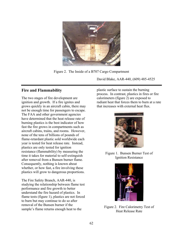

Figure 2. The Inside of a B707 Cargo Compartment

David Blake, AAR-440, (609) 485-4525

## **Fire and Flammability**

The two stages of fire development are ignition and growth. If a fire ignites and grows quickly in an aircraft cabin, there ma y not be enough time for passengers to esc ape. The FAA and other government agencies have determined that the heat release rate o f burning plastics is the best indicator of ho w fast the fire grows in compartments such as aircraft cabins, tra ins, and rooms. However, none of the tens of billions of pounds of year is tested for heat release rate. Instead, flame-retardant plastic sold worldwide each plastics are only tested for ignition resistance (flammability) by measuring the time it takes for material to self-extinguish after removal from a Bunsen burner flame. Consequently, nothing is known about whether, or how fast, a fire involving these plastics will grow to dangerous proportions.

understand the fire hazard of plastics. In flame tests (figure 1), plastics are not forced The Fire Safety Branch, AAR-440, is studying the relationship between flame test performance and fire growth to better to burn but may continue to do so after removal of the Bunsen burner if the sample's flame returns enough heat to the Figure 2. Fire Calorimetry Test of

plastic surface to sustain the burning process. In contrast, plastics in fires or fire calorimeters (figure 2) are exposed to radiant heat that forces them to burn at a rat e that increases with external heat flux.



Figure 1. Bunsen Burner Test of Ignition Resistance



Heat Release Rate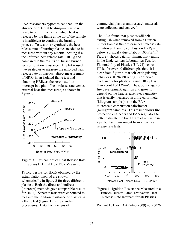FAA researchers hypothesized that—in the absence of external heating—a plastic will cease to burn if the rate at which heat is released by the flame at the tip of the sample is insufficient to continue the burning process. To test this hypothesis, the heat release rate of burning plastics needed to be measured without any external heating (i.e., the unforced heat release rate,  $HRR_0$ ) and compared to the results of Bunsen burner tests of ignition resistance. The FAA used two strategies to meas ure the unforced heat release rate of plastics: direct measurement of  $HRR_0$  in an isolated flame test and obtaining  $HRR_0$  as the zero heat flux intercept in a plot of heat release rate versus external heat flux measured, as shown in figure 3.





Typical results for  $HRR_0$  obtained by the xtrapolation method are shown e schematically in figure 3 for three different (intercept) methods gave comparable results for HRR<sub>0</sub>. Separate tests were conducted to plastics. Both the direct and indirect measure the ignition resistance of plastics in a flame test (figure 1) using standard procedures. Data from dozens of

commercial plastics and research materials were collected and analyzed.

 $HRR_0$  for over 40 different plastics. It is clear from figure 4 that self-extinguishing The FAA found that plastics will selfextinguish when removed from a Bunsen burner flame if their release heat release rate in unforced flaming combustion  $HRR_0$  is below a critical value of about  $100 \text{ kW/m}^2$ . Figure 4 shows data for flammability rating in the Underwriters Laboratories Test for Flammability of Plastics (UL 94) versus exclusively for plastics having HRR<sub>0</sub> less than about  $100 \text{ kW/m}^2$ . Thus, both stages of fire development, ignition and growth, that is easily measured in a fire calorimeter milligram samples). This result allows fire ( protection engineers and FAA regulators to better estimate the fire hazard of a plastic in a particular environment from a few heat release rate tests. depend on the heat release rate, a quantity (kilogram samples) or in the FAA's microscale combustion calorimeter behavior (UL 94 V0 rating) is observed



Unforced Heat Release Rate HRR<sub>0</sub>, kW/m<sup>2</sup>

Figure 4. Ignition Resistance Measured in a Bunsen Burner Flame Test versus Heat Release Rate Intercept for 40 Plastics

Richard E. Lyon, AAR-440, (609) 485-6076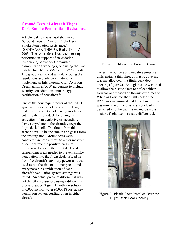### **Ground Tests of Aircraft Flight Deck Smoke Penetration Resistance**

A technical note was published titled "Ground Tests of Aircraft Flight Deck Smoke Penetration Resistance," DOT/FAA/AR-TN03/36, Blake, D., in April 2003. The report describes recent testing performed in support of an Aviation implement an International Civil Aviation certification of new aircraft. Rulemaking Advisory Committee harmonization working group using the Fire Safety Branch's B747SP and B727 aircraft. The group was tasked with developing draft regulations and advisory material to Organization (IACO) agreement to include security considerations into the type

One of the new requirements of the IACO agreement was to include specific design features to prevent smoke and gases from entering the flight deck following the activation of an explosive or incendiary device anywhere in the aircraft except the flight deck itself. The threat from this scenario would be the smoke and gases from the ensuing fire. Ground tests were conducted in both aircraft to either measure or demonstrate the positive pressure differential between the flight deck and surrounding areas needed to prevent smoke penetration into the flight deck. Bleed air used to run the air-conditioner packs, and every possible combination of each tested. An actual pressure differential was pressure gauge (figure 1) with a resolution from the aircraft's auxiliary power unit was aircraft's ventilation system settings was not directly measurable using a differential of 0.005 inch of water (0.00018 psi) at any ventilation system configuration in either aircraft.



Figure 1. Differential Pressure Gauge

To test the positive and negative pressure differential, a thin sheet of plastic coveri ng was installed over the flight deck door opening (figure 2). Enough plastic was used to allow the plastic sheet to deflect eithe r forward or aft based on the airflow directio n. When airflow into the flight deck of the B727 was maximized and the cabin a irflow was minimized, the plastic sheet clearly deflected into the cabin area, indicating a positive flight deck pressure differential.



Flight Deck Door Opening Figure 2. Plastic Sheet Installed Over the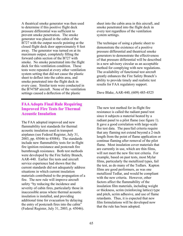A theatrical smoke generator was then u sed to determine if this positive flight deck pressure differential was sufficient to prevent smoke penetration. The smoke B727 with the output nozzle pointing at the closed flight deck door approximately 8 feet forward cabin section of the B727 with smoke. No smoke penetrated into the flight sheet to deflect into the cabin area, and the B747SP aircraft. None of the ventilation settings caused a deflection of the plastic generator was placed in the cabin of the away. The generator was turned on at its maximum output, completely filling the deck for this ventilation condition. These tests were repeated at every other ventilation system setting that did not cause the plastic smoke penetrated into the flight deck in every case. Similar tests were conducted in

#### **FAAAdopts Final Rule Requiring Improved Fire Tests for Thermal Acoustic Insulation**

The FAA adopted improved and new flammability test standards for thermal acoustic insulation used in transport airplanes (see Federal Register, July 31, 2003, pp. 45046 to 45084). The standards include new flammability tests for in-f light fire ignition resistance and postcrash fire burnthrough resistance. Both test methods were developed by the Fire Safety Branch, AAR-440. Earlier fire tests and aircraft service experience had shown that the current standards did not adequately address situations in which current insulation materials contributed to the propagation of a fire. The new rule will improve aircraft safety "by reducing the incidence and severity of cabin fires, particularly those in inaccessible areas where thermal acoustic insulation is installed, and providing additional time for evacuation by delaying the entry of postcrash fires into the cabin" (Federal Register, July 31, 2003, p. 45046).

sheet into the cabin area in this aircraft, and smoke penetrated into the flight deck in every test regardless of the ventilation system settings.

The technique of using a plastic sheet to demonstrate the existence of a positive pressure differential and theatrical smoke generators to demonstrate the effectiveness of that pressure differential will be described in a new advisory circular as an acceptable method for complying with new regulations. ability to provide timely and realistic test The availability of functional test aircraft greatly enhances the Fire Safety Branch's results for FAA regulatory support.

Dave Blake, AAR-440, (609) 485-4525

The new test method for in-flight fire resistance is called the radiant panel test since it subjects a material heated by a radiant panel to a pilot flame (see figure 1). It gave a good correlation with large-scale fire test data. The pass/fail criteria require that any flaming not extend beyond a 2-inch length from the point of flame application or continue flaming after removal of the pilot flame. Most insulation cover materials that are currently in use, which are thin films, will not meet the new fire test criteria. For example, based on past tests, most Mylar films, particularly the metallized types, fail the test, as do many of the Tedlars. Kapton films are good performers, as was one metallized Tedlar, and would be compliant with the new criteria. However, other factors affect the flammability of the insulation film materials, including weight or thickness, scrim (reinforcing lattice) type a nd pitch, scrim adhesive, and use of flame retardants. Thus, it is expected that new film formulations will be developed now that the rule has been adopted.